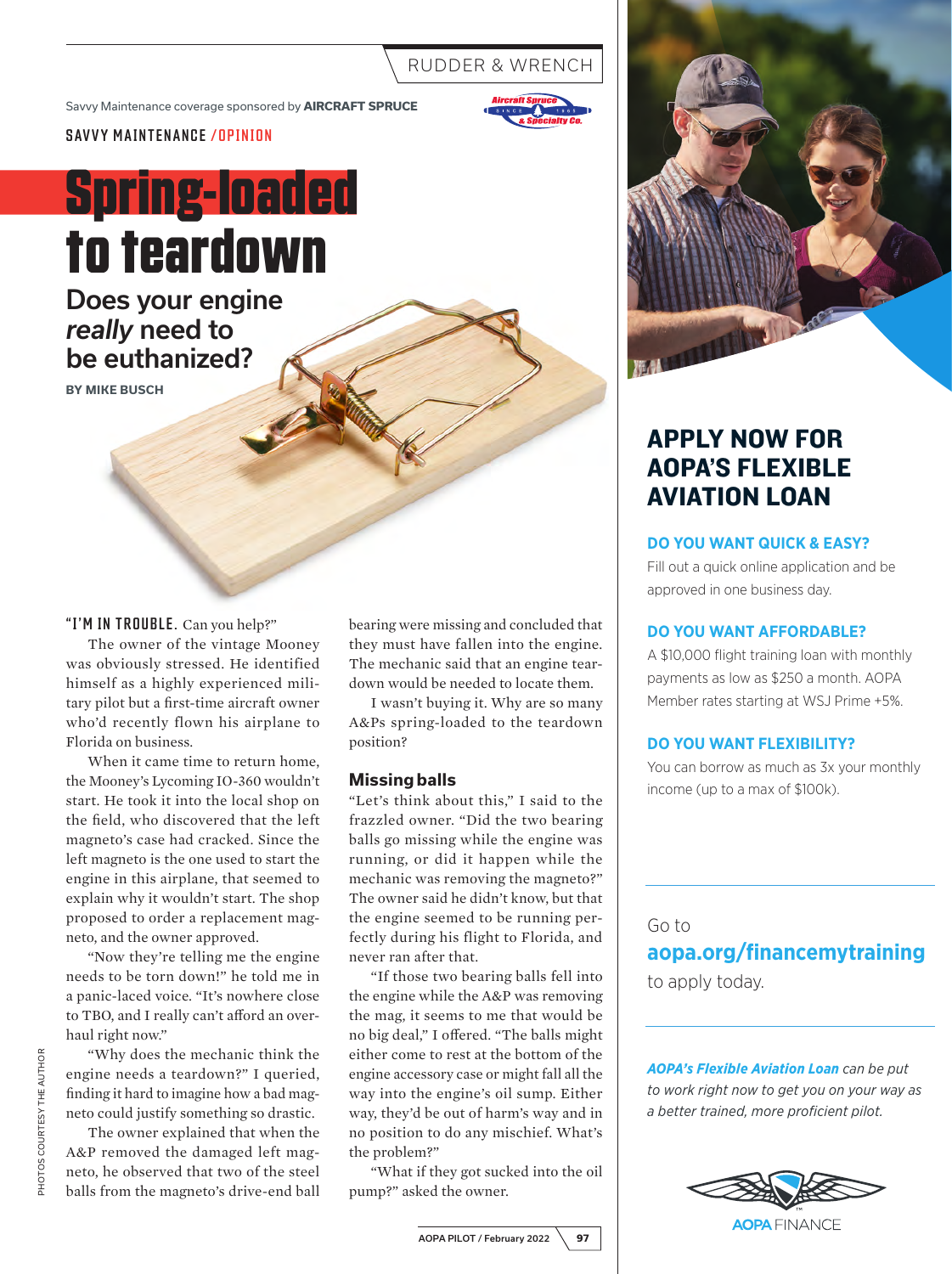# RUDDER & WRENCH

Savvy Maintenance coverage sponsored by **AIRCRAFT SPRUCE**



SAVVY MAINTENANCE /OPINION

# **Spring-loaded to teardown**

Does your engine *really* need to be euthanized?

**BY MIKE BUSCH**

#### "I'M IN TROUBLE. Can you help?"

The owner of the vintage Mooney was obviously stressed. He identified himself as a highly experienced military pilot but a first-time aircraft owner who'd recently flown his airplane to Florida on business.

When it came time to return home, the Mooney's Lycoming IO-360 wouldn't start. He took it into the local shop on the field, who discovered that the left magneto's case had cracked. Since the left magneto is the one used to start the engine in this airplane, that seemed to explain why it wouldn't start. The shop proposed to order a replacement magneto, and the owner approved.

"Now they're telling me the engine needs to be torn down!" he told me in a panic-laced voice. "It's nowhere close to TBO, and I really can't afford an overhaul right now."

"Why does the mechanic think the engine needs a teardown?" I queried, finding it hard to imagine how a bad magneto could justify something so drastic.

The owner explained that when the A&P removed the damaged left magneto, he observed that two of the steel balls from the magneto's drive-end ball bearing were missing and concluded that they must have fallen into the engine. The mechanic said that an engine teardown would be needed to locate them.

I wasn't buying it. Why are so many A&Ps spring-loaded to the teardown position?

#### **Missing balls**

"Let's think about this," I said to the frazzled owner. "Did the two bearing balls go missing while the engine was running, or did it happen while the mechanic was removing the magneto?" The owner said he didn't know, but that the engine seemed to be running perfectly during his flight to Florida, and never ran after that.

"If those two bearing balls fell into the engine while the A&P was removing the mag, it seems to me that would be no big deal," I offered. "The balls might either come to rest at the bottom of the engine accessory case or might fall all the way into the engine's oil sump. Either way, they'd be out of harm's way and in no position to do any mischief. What's the problem?"

"What if they got sucked into the oil pump?" asked the owner.



# APPLY NOW FOR AOPA'S FLEXIBLE AVIATION LOAN

#### **DO YOU WANT QUICK & EASY?**

Fill out a quick online application and be approved in one business day.

#### **DO YOU WANT AFFORDABLE?**

A \$10,000 flight training loan with monthly payments as low as \$250 a month. AOPA Member rates starting at WSJ Prime +5%.

#### **DO YOU WANT FLEXIBILITY?**

You can borrow as much as 3x your monthly income (up to a max of \$100k).

#### Go to

**aopa.org/financemytraining**

to apply today.

*AOPA's Flexible Aviation Loan can be put to work right now to get you on your way as a better trained, more proficient pilot.*

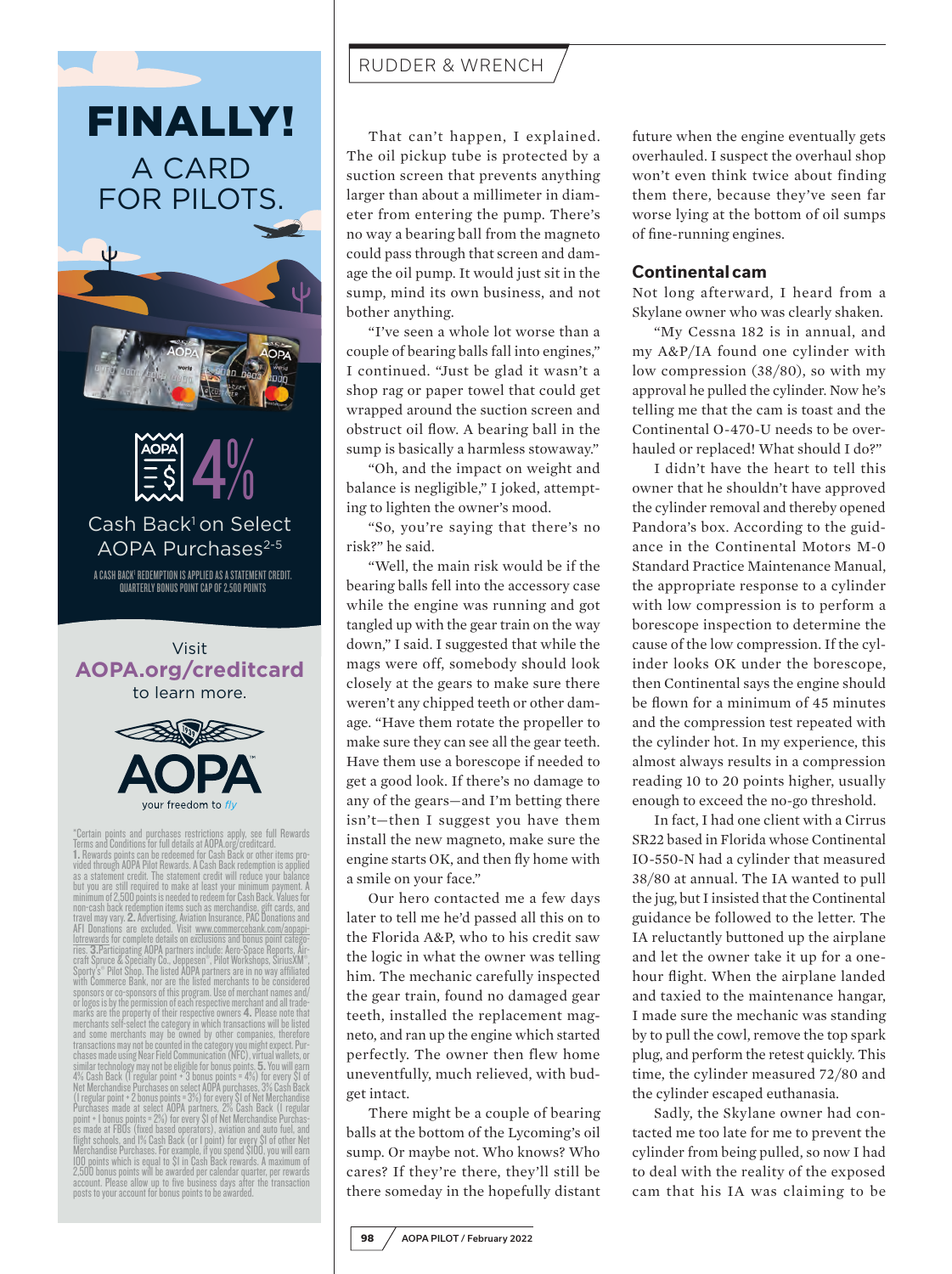

minimum of 2,500 points is needed to redeem for Cash Back. Values for<br>non-cash back redemption items usch as merchandise, gift cards, and<br>travel may vary. **2.** Advertising, Aviation Insurance, PAC Donations and<br>AFI Donatio Sporty's® Pilot Shop. The listed ADPA partners are in no way affiliated<br>with Commerce Bank, nor are the listed merchants to be considered<br>sponsors or co-sponsors of this program. Use of merchant names and/<br>or logos is by t marks are the property of their respective owners 4. Please note that merchants self-select the category in which transactions will be listed and some merchants may be owned by other companies, therefore transactions may not be counted in the category you might expect. Pur-chases made using Near Field Communication (NFC), virtual wallets, or similar technology may not be eligible for bonus points. **5.** You will earn<br>4% Cash Back (1 regular point + 3 bonus points = 4%) for every \$1 of<br>Net Merchandise Purchases on select AOPA purchases, 3% Cash Back (Tregular point + 2 bonus points = 3%) for every \$1 of Net Merchandise<br>Purchases made at select AOPA partners, 2% Cash Back (Tregular<br>point + 1 bonus points = 2%) for every \$1 of Net Merchandise Purchas-<br>es made at FBOs (f flight schools, and 1% Cash Back (or 1 point) for every \$1 of other Net Merchandise Purchases. For example, if you spend \$100, you will earn 100 points which is equal to \$1 in Cash Back rewards. A maximum of 2,500 bonus points will be awarded per calendar quarter, per rewards account. Please allow up to five business days after the transaction posts to your account for bonus points to be awarded.

# RUDDER & WRENCH

That can't happen, I explained. The oil pickup tube is protected by a suction screen that prevents anything larger than about a millimeter in diameter from entering the pump. There's no way a bearing ball from the magneto could pass through that screen and damage the oil pump. It would just sit in the sump, mind its own business, and not bother anything.

"I've seen a whole lot worse than a couple of bearing balls fall into engines," I continued. "Just be glad it wasn't a shop rag or paper towel that could get wrapped around the suction screen and obstruct oil flow. A bearing ball in the sump is basically a harmless stowaway."

"Oh, and the impact on weight and balance is negligible," I joked, attempting to lighten the owner's mood.

"So, you're saying that there's no risk?" he said.

"Well, the main risk would be if the bearing balls fell into the accessory case while the engine was running and got tangled up with the gear train on the way down," I said. I suggested that while the mags were off, somebody should look closely at the gears to make sure there weren't any chipped teeth or other damage. "Have them rotate the propeller to make sure they can see all the gear teeth. Have them use a borescope if needed to get a good look. If there's no damage to any of the gears—and I'm betting there isn't—then I suggest you have them install the new magneto, make sure the engine starts OK, and then fly home with a smile on your face."

Our hero contacted me a few days later to tell me he'd passed all this on to the Florida A&P, who to his credit saw the logic in what the owner was telling him. The mechanic carefully inspected the gear train, found no damaged gear teeth, installed the replacement magneto, and ran up the engine which started perfectly. The owner then flew home uneventfully, much relieved, with budget intact.

There might be a couple of bearing balls at the bottom of the Lycoming's oil sump. Or maybe not. Who knows? Who cares? If they're there, they'll still be there someday in the hopefully distant future when the engine eventually gets overhauled. I suspect the overhaul shop won't even think twice about finding them there, because they've seen far worse lying at the bottom of oil sumps of fine-running engines.

#### **Continental cam**

Not long afterward, I heard from a Skylane owner who was clearly shaken.

"My Cessna 182 is in annual, and my A&P/IA found one cylinder with low compression (38/80), so with my approval he pulled the cylinder. Now he's telling me that the cam is toast and the Continental O-470-U needs to be overhauled or replaced! What should I do?"

I didn't have the heart to tell this owner that he shouldn't have approved the cylinder removal and thereby opened Pandora's box. According to the guidance in the Continental Motors M-0 Standard Practice Maintenance Manual, the appropriate response to a cylinder with low compression is to perform a borescope inspection to determine the cause of the low compression. If the cylinder looks OK under the borescope, then Continental says the engine should be flown for a minimum of 45 minutes and the compression test repeated with the cylinder hot. In my experience, this almost always results in a compression reading 10 to 20 points higher, usually enough to exceed the no-go threshold.

In fact, I had one client with a Cirrus SR22 based in Florida whose Continental IO-550-N had a cylinder that measured 38/80 at annual. The IA wanted to pull the jug, but I insisted that the Continental guidance be followed to the letter. The IA reluctantly buttoned up the airplane and let the owner take it up for a onehour flight. When the airplane landed and taxied to the maintenance hangar, I made sure the mechanic was standing by to pull the cowl, remove the top spark plug, and perform the retest quickly. This time, the cylinder measured 72/80 and the cylinder escaped euthanasia.

Sadly, the Skylane owner had contacted me too late for me to prevent the cylinder from being pulled, so now I had to deal with the reality of the exposed cam that his IA was claiming to be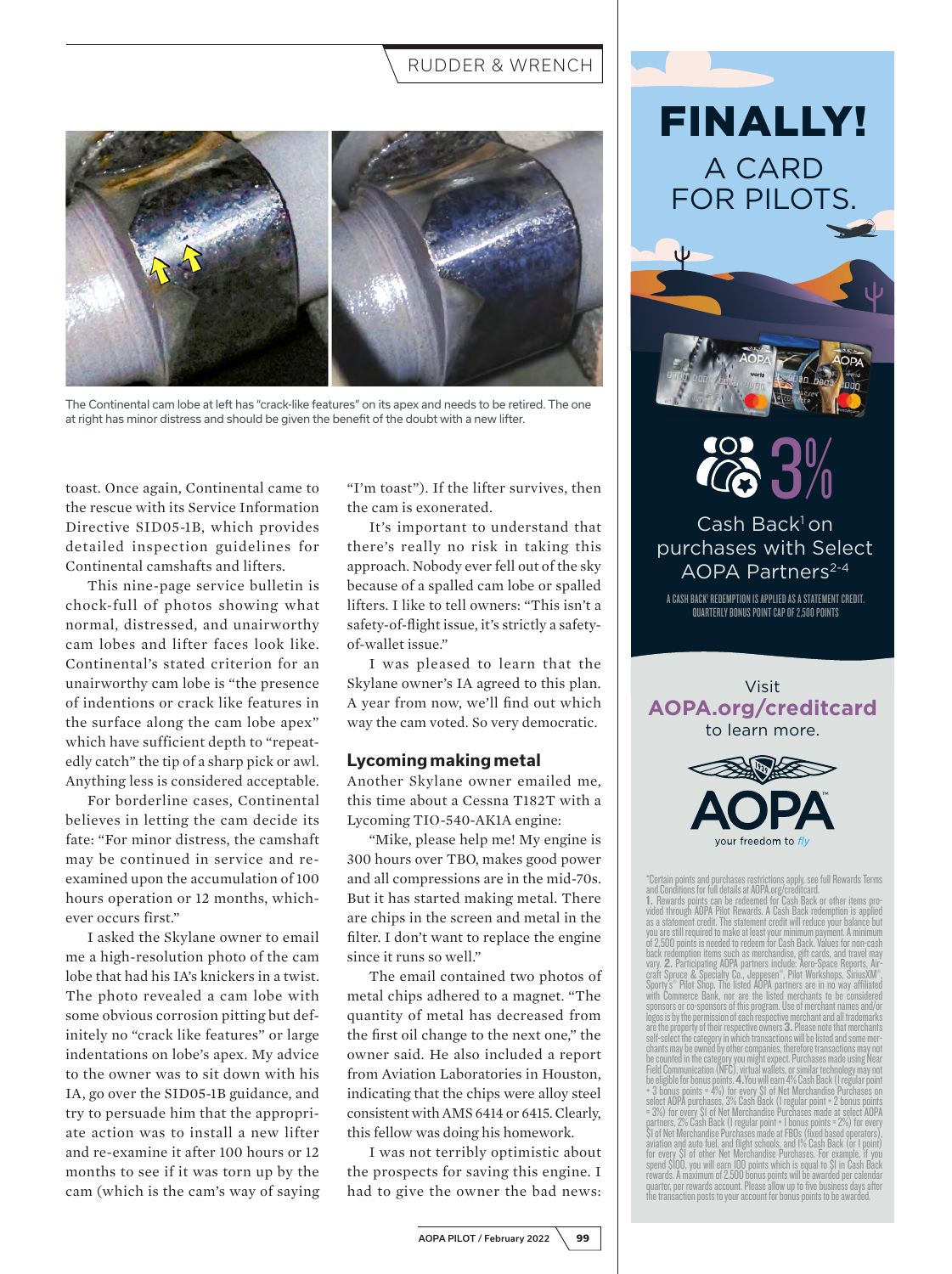### RUDDER & WRENCH



The Continental cam lobe at left has "crack-like features" on its apex and needs to be retired. The one at right has minor distress and should be given the benefit of the doubt with a new lifter.

toast. Once again, Continental came to the rescue with its Service Information Directive SID05-1B, which provides detailed inspection guidelines for Continental camshafts and lifters.

This nine-page service bulletin is chock-full of photos showing what normal, distressed, and unairworthy cam lobes and lifter faces look like. Continental's stated criterion for an unairworthy cam lobe is "the presence of indentions or crack like features in the surface along the cam lobe apex" which have sufficient depth to "repeatedly catch" the tip of a sharp pick or awl. Anything less is considered acceptable.

For borderline cases, Continental believes in letting the cam decide its fate: "For minor distress, the camshaft may be continued in service and reexamined upon the accumulation of 100 hours operation or 12 months, whichever occurs first."

I asked the Skylane owner to email me a high-resolution photo of the cam lobe that had his IA's knickers in a twist. The photo revealed a cam lobe with some obvious corrosion pitting but definitely no "crack like features" or large indentations on lobe's apex. My advice to the owner was to sit down with his IA, go over the SID05-1B guidance, and try to persuade him that the appropriate action was to install a new lifter and re-examine it after 100 hours or 12 months to see if it was torn up by the cam (which is the cam's way of saying

"I'm toast"). If the lifter survives, then the cam is exonerated.

It's important to understand that there's really no risk in taking this approach. Nobody ever fell out of the sky because of a spalled cam lobe or spalled lifters. I like to tell owners: "This isn't a safety-of-flight issue, it's strictly a safetyof-wallet issue."

I was pleased to learn that the Skylane owner's IA agreed to this plan. A year from now, we'll find out which way the cam voted. So very democratic.

#### **Lycoming making metal**

Another Skylane owner emailed me, this time about a Cessna T182T with a Lycoming TIO-540-AK1A engine:

"Mike, please help me! My engine is 300 hours over TBO, makes good power and all compressions are in the mid-70s. But it has started making metal. There are chips in the screen and metal in the filter. I don't want to replace the engine since it runs so well."

The email contained two photos of metal chips adhered to a magnet. "The quantity of metal has decreased from the first oil change to the next one," the owner said. He also included a report from Aviation Laboratories in Houston, indicating that the chips were alloy steel consistent with AMS 6414 or 6415. Clearly, this fellow was doing his homework.

I was not terribly optimistic about the prospects for saving this engine. I had to give the owner the bad news:



FINALLY!

3%

 $Cash$  Back $1$  on purchases with Select AOPA Partners<sup>2-4</sup>

A CASH BACK<sup>;</sup> redemption is applied as a statement credit. QUARTERLY BONUS POINT CAP OF 2,500 POINTS

Visit **AOPA.org/creditcard**<br>to learn more.



\*Certain points and purchases restrictions apply, see full Rewards Terms and Conditions for full details at AOPA.org/creditcard.

vided through AOPA Pilot Rewards. A Cash Back redemption is applied as a statement credit. The statement credit will reduce your balance but you are still required to make at least your minimum payment. A minimum of 2,500 points is needed to redeem for Cash Back. Values for non-cash back redemption items such as merchandise, gift cards, and travel may vary. **2.** Participating AOPA partners include: Aero-Space Reports, Airvary. **2.** Participating AOPA partners include: "Aero-Space Reports, Air-<br>craft Spruce & Specialty Co., Jeppesen ", Pliot Workshops, SiriusXM",<br>Sporty's "Pliot Shop. The listed AOPA partners are in no way affiliated<br>with C logos is by the permission of each respective merchant and all trademarks are the property of their respective owners 3. Please note that merchants self-select the category in which transactions will be listed and some mer-<br>chants may be owned by other companies, therefore transactions may not<br>be counted in the category you might expect. Purchases made using Near<br>Fiel be eligible for bonus points. 4.You will earn 4% Cash Back (Tregular point)<br>+ 3 bonus points = 4%) for every \$1 of Net Merchandise Purchases on<br>select AOPA purchases, 3% Cash Back (Tregular point + 2 bonus points<br>= 3%) for aviation and auto fuel, and flight schools, and 1% Cash Back (or 1 point)<br>for every \$1 of other Net Merchandise Purchases. For example, if you<br>spend \$100, you will earn 100 points which is equal to \$1 in Cash Back<br>rewards. the transaction posts to your account for bonus points to be awarded.